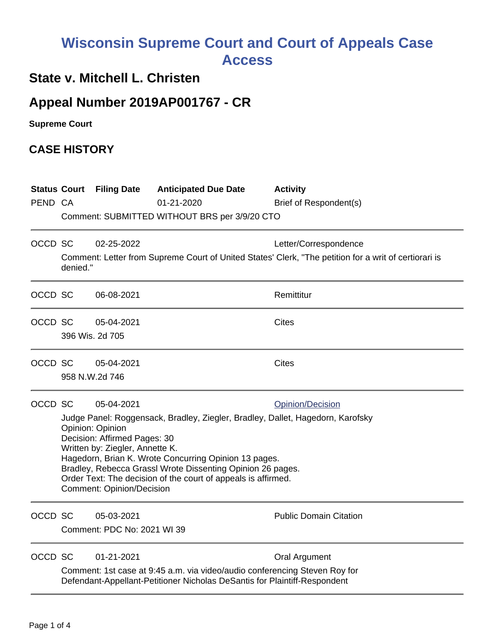## **Wisconsin Supreme Court and Court of Appeals Case Access**

## **State v. Mitchell L. Christen**

## **Appeal Number 2019AP001767 - CR**

**Supreme Court** 

## **CASE HISTORY**

| PEND CA |                                                                                                                                                                                                                                                                                                                                                                                                                                     | <b>Status Court Filing Date</b>           | <b>Anticipated Due Date</b><br>01-21-2020<br>Comment: SUBMITTED WITHOUT BRS per 3/9/20 CTO                                                              | <b>Activity</b><br>Brief of Respondent(s)                                                                                      |  |
|---------|-------------------------------------------------------------------------------------------------------------------------------------------------------------------------------------------------------------------------------------------------------------------------------------------------------------------------------------------------------------------------------------------------------------------------------------|-------------------------------------------|---------------------------------------------------------------------------------------------------------------------------------------------------------|--------------------------------------------------------------------------------------------------------------------------------|--|
| OCCD SC | denied."                                                                                                                                                                                                                                                                                                                                                                                                                            | 02-25-2022                                |                                                                                                                                                         | Letter/Correspondence<br>Comment: Letter from Supreme Court of United States' Clerk, "The petition for a writ of certiorari is |  |
| OCCD SC |                                                                                                                                                                                                                                                                                                                                                                                                                                     | 06-08-2021                                |                                                                                                                                                         | Remittitur                                                                                                                     |  |
| OCCD SC |                                                                                                                                                                                                                                                                                                                                                                                                                                     | 05-04-2021<br>396 Wis. 2d 705             |                                                                                                                                                         | <b>Cites</b>                                                                                                                   |  |
| OCCD SC |                                                                                                                                                                                                                                                                                                                                                                                                                                     | 05-04-2021<br>958 N.W.2d 746              |                                                                                                                                                         | <b>Cites</b>                                                                                                                   |  |
| OCCD SC | 05-04-2021<br>Opinion/Decision<br>Judge Panel: Roggensack, Bradley, Ziegler, Bradley, Dallet, Hagedorn, Karofsky<br>Opinion: Opinion<br>Decision: Affirmed Pages: 30<br>Written by: Ziegler, Annette K.<br>Hagedorn, Brian K. Wrote Concurring Opinion 13 pages.<br>Bradley, Rebecca Grassl Wrote Dissenting Opinion 26 pages.<br>Order Text: The decision of the court of appeals is affirmed.<br><b>Comment: Opinion/Decision</b> |                                           |                                                                                                                                                         |                                                                                                                                |  |
| OCCD SC |                                                                                                                                                                                                                                                                                                                                                                                                                                     | 05-03-2021<br>Comment: PDC No: 2021 WI 39 |                                                                                                                                                         | <b>Public Domain Citation</b>                                                                                                  |  |
| OCCD SC |                                                                                                                                                                                                                                                                                                                                                                                                                                     | 01-21-2021                                | Comment: 1st case at 9:45 a.m. via video/audio conferencing Steven Roy for<br>Defendant-Appellant-Petitioner Nicholas DeSantis for Plaintiff-Respondent | Oral Argument                                                                                                                  |  |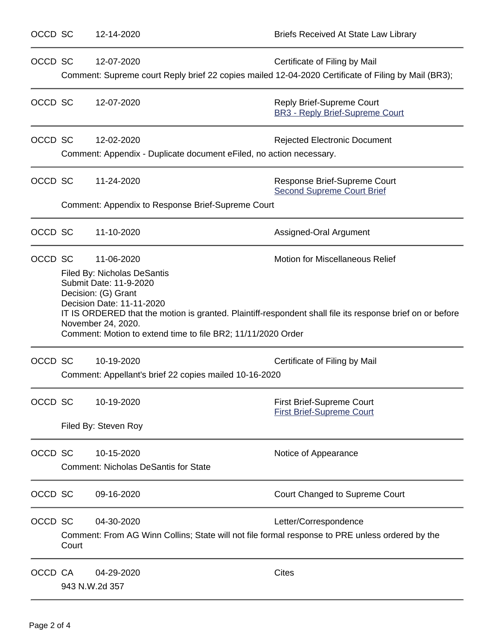| OCCD SC |                                                   | 12-14-2020                                                                                                                                                                                                           | <b>Briefs Received At State Law Library</b>                                                                                                         |
|---------|---------------------------------------------------|----------------------------------------------------------------------------------------------------------------------------------------------------------------------------------------------------------------------|-----------------------------------------------------------------------------------------------------------------------------------------------------|
| OCCD SC |                                                   | 12-07-2020                                                                                                                                                                                                           | Certificate of Filing by Mail<br>Comment: Supreme court Reply brief 22 copies mailed 12-04-2020 Certificate of Filing by Mail (BR3);                |
| OCCD SC |                                                   | 12-07-2020                                                                                                                                                                                                           | Reply Brief-Supreme Court<br><b>BR3 - Reply Brief-Supreme Court</b>                                                                                 |
| OCCD SC |                                                   | 12-02-2020<br>Comment: Appendix - Duplicate document eFiled, no action necessary.                                                                                                                                    | <b>Rejected Electronic Document</b>                                                                                                                 |
| OCCD SC |                                                   | 11-24-2020                                                                                                                                                                                                           | Response Brief-Supreme Court<br><b>Second Supreme Court Brief</b>                                                                                   |
|         | Comment: Appendix to Response Brief-Supreme Court |                                                                                                                                                                                                                      |                                                                                                                                                     |
| OCCD SC |                                                   | 11-10-2020                                                                                                                                                                                                           | Assigned-Oral Argument                                                                                                                              |
|         | OCCD SC                                           | 11-06-2020<br><b>Filed By: Nicholas DeSantis</b><br>Submit Date: 11-9-2020<br>Decision: (G) Grant<br>Decision Date: 11-11-2020<br>November 24, 2020.<br>Comment: Motion to extend time to file BR2; 11/11/2020 Order | <b>Motion for Miscellaneous Relief</b><br>IT IS ORDERED that the motion is granted. Plaintiff-respondent shall file its response brief on or before |
| OCCD SC |                                                   | 10-19-2020<br>Comment: Appellant's brief 22 copies mailed 10-16-2020                                                                                                                                                 | Certificate of Filing by Mail                                                                                                                       |
| OCCD SC |                                                   | 10-19-2020<br>Filed By: Steven Roy                                                                                                                                                                                   | <b>First Brief-Supreme Court</b><br><b>First Brief-Supreme Court</b>                                                                                |
| OCCD SC |                                                   | 10-15-2020<br><b>Comment: Nicholas DeSantis for State</b>                                                                                                                                                            | Notice of Appearance                                                                                                                                |
| OCCD SC |                                                   | 09-16-2020                                                                                                                                                                                                           | Court Changed to Supreme Court                                                                                                                      |
| OCCD SC | Court                                             | 04-30-2020<br>Comment: From AG Winn Collins; State will not file formal response to PRE unless ordered by the                                                                                                        | Letter/Correspondence                                                                                                                               |
| OCCD CA |                                                   | 04-29-2020<br>943 N.W.2d 357                                                                                                                                                                                         | <b>Cites</b>                                                                                                                                        |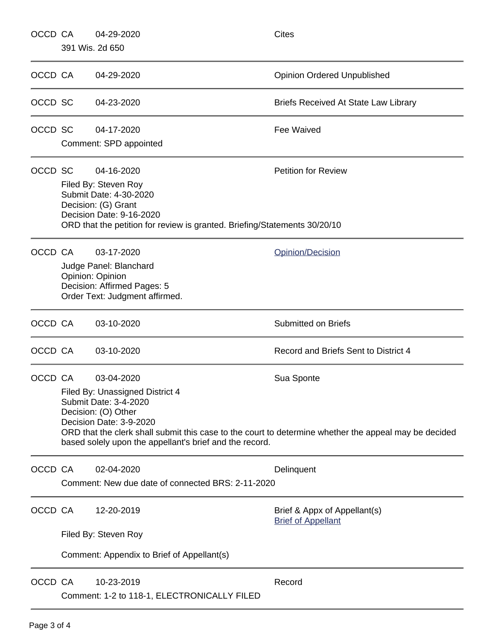| OCCD CA         |                                            | 04-29-2020                                                                                                                                                                                                                                                                                                 | <b>Cites</b>                                              |  |  |
|-----------------|--------------------------------------------|------------------------------------------------------------------------------------------------------------------------------------------------------------------------------------------------------------------------------------------------------------------------------------------------------------|-----------------------------------------------------------|--|--|
| 391 Wis. 2d 650 |                                            |                                                                                                                                                                                                                                                                                                            |                                                           |  |  |
| OCCD CA         |                                            | 04-29-2020                                                                                                                                                                                                                                                                                                 | <b>Opinion Ordered Unpublished</b>                        |  |  |
| OCCD SC         |                                            | 04-23-2020                                                                                                                                                                                                                                                                                                 | Briefs Received At State Law Library                      |  |  |
| OCCD SC         |                                            | 04-17-2020<br>Comment: SPD appointed                                                                                                                                                                                                                                                                       | Fee Waived                                                |  |  |
| OCCD SC         |                                            | 04-16-2020<br><b>Petition for Review</b><br>Filed By: Steven Roy<br>Submit Date: 4-30-2020<br>Decision: (G) Grant<br>Decision Date: 9-16-2020<br>ORD that the petition for review is granted. Briefing/Statements 30/20/10                                                                                 |                                                           |  |  |
|                 | OCCD CA                                    | 03-17-2020<br>Judge Panel: Blanchard<br>Opinion: Opinion<br>Decision: Affirmed Pages: 5<br>Order Text: Judgment affirmed.                                                                                                                                                                                  | Opinion/Decision                                          |  |  |
| OCCD CA         |                                            | 03-10-2020                                                                                                                                                                                                                                                                                                 | <b>Submitted on Briefs</b>                                |  |  |
| OCCD CA         |                                            | 03-10-2020                                                                                                                                                                                                                                                                                                 | Record and Briefs Sent to District 4                      |  |  |
| OCCD CA         |                                            | 03-04-2020<br>Sua Sponte<br>Filed By: Unassigned District 4<br>Submit Date: 3-4-2020<br>Decision: (O) Other<br>Decision Date: 3-9-2020<br>ORD that the clerk shall submit this case to the court to determine whether the appeal may be decided<br>based solely upon the appellant's brief and the record. |                                                           |  |  |
| OCCD CA         |                                            | 02-04-2020<br>Delinquent<br>Comment: New due date of connected BRS: 2-11-2020                                                                                                                                                                                                                              |                                                           |  |  |
| OCCD CA         |                                            | 12-20-2019<br>Filed By: Steven Roy                                                                                                                                                                                                                                                                         | Brief & Appx of Appellant(s)<br><b>Brief of Appellant</b> |  |  |
|                 | Comment: Appendix to Brief of Appellant(s) |                                                                                                                                                                                                                                                                                                            |                                                           |  |  |
| OCCD CA         |                                            | 10-23-2019<br>Comment: 1-2 to 118-1, ELECTRONICALLY FILED                                                                                                                                                                                                                                                  | Record                                                    |  |  |